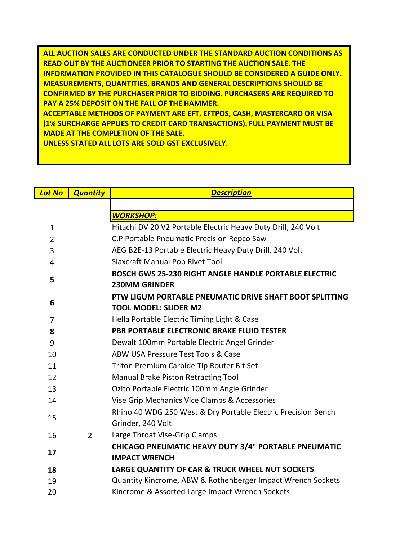**ALL AUCTION SALES ARE CONDUCTED UNDER THE STANDARD AUCTION CONDITIONS AS READ OUT BY THE AUCTIONEER PRIOR TO STARTING THE AUCTION SALE. THE INFORMATION PROVIDED IN THIS CATALOGUE SHOULD BE CONSIDERED A GUIDE ONLY. MEASUREMENTS, QUANTITIES, BRANDS AND GENERAL DESCRIPTIONS SHOULD BE CONFIRMED BY THE PURCHASER PRIOR TO BIDDING. PURCHASERS ARE REQUIRED TO PAY A 25% DEPOSIT ON THE FALL OF THE HAMMER.** 

**ACCEPTABLE METHODS OF PAYMENT ARE EFT, EFTPOS, CASH, MASTERCARD OR VISA (1% SURCHARGE APPLIES TO CREDIT CARD TRANSACTIONS). FULL PAYMENT MUST BE MADE AT THE COMPLETION OF THE SALE.** 

**UNLESS STATED ALL LOTS ARE SOLD GST EXCLUSIVELY.** 

| <b>Lot No</b>  | <b>Quantity</b> | <b>Description</b>                                            |
|----------------|-----------------|---------------------------------------------------------------|
|                |                 |                                                               |
|                |                 | <b>WORKSHOP:</b>                                              |
| $\mathbf{1}$   |                 | Hitachi DV 20 V2 Portable Electric Heavy Duty Drill, 240 Volt |
| $\overline{2}$ |                 | C.P Portable Pneumatic Precision Repco Saw                    |
| 3              |                 | AEG B2E-13 Portable Electric Heavy Duty Drill, 240 Volt       |
| 4              |                 | Siaxcraft Manual Pop Rivet Tool                               |
| 5              |                 | <b>BOSCH GWS 25-230 RIGHT ANGLE HANDLE PORTABLE ELECTRIC</b>  |
|                |                 | <b>230MM GRINDER</b>                                          |
| 6              |                 | PTW LIGUM PORTABLE PNEUMATIC DRIVE SHAFT BOOT SPLITTING       |
|                |                 | <b>TOOL MODEL: SLIDER M2</b>                                  |
| $\overline{7}$ |                 | Hella Portable Electric Timing Light & Case                   |
| 8              |                 | <b>PBR PORTABLE ELECTRONIC BRAKE FLUID TESTER</b>             |
| 9              |                 | Dewalt 100mm Portable Electric Angel Grinder                  |
| 10             |                 | ABW USA Pressure Test Tools & Case                            |
| 11             |                 | Triton Premium Carbide Tip Router Bit Set                     |
| 12             |                 | Manual Brake Piston Retracting Tool                           |
| 13             |                 | Ozito Portable Electric 100mm Angle Grinder                   |
| 14             |                 | Vise Grip Mechanics Vice Clamps & Accessories                 |
| 15             |                 | Rhino 40 WDG 250 West & Dry Portable Electric Precision Bench |
|                |                 | Grinder, 240 Volt                                             |
| 16             | $\overline{2}$  | Large Throat Vise-Grip Clamps                                 |
| 17             |                 | <b>CHICAGO PNEUMATIC HEAVY DUTY 3/4" PORTABLE PNEUMATIC</b>   |
|                |                 | <b>IMPACT WRENCH</b>                                          |
| 18             |                 | LARGE QUANTITY OF CAR & TRUCK WHEEL NUT SOCKETS               |
| 19             |                 | Quantity Kincrome, ABW & Rothenberger Impact Wrench Sockets   |
| 20             |                 | Kincrome & Assorted Large Impact Wrench Sockets               |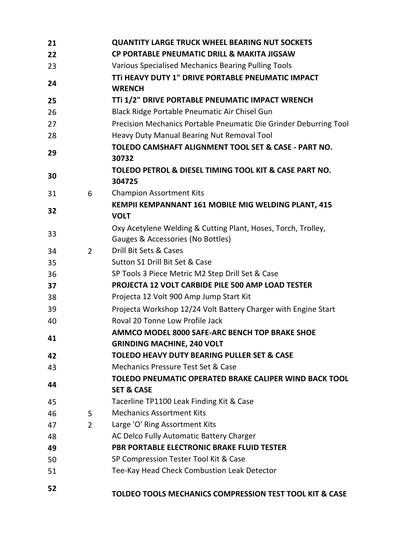| 21 |                | <b>QUANTITY LARGE TRUCK WHEEL BEARING NUT SOCKETS</b>                                              |
|----|----------------|----------------------------------------------------------------------------------------------------|
| 22 |                | CP PORTABLE PNEUMATIC DRILL & MAKITA JIGSAW                                                        |
| 23 |                | Various Specialised Mechanics Bearing Pulling Tools                                                |
| 24 |                | TTI HEAVY DUTY 1" DRIVE PORTABLE PNEUMATIC IMPACT<br><b>WRENCH</b>                                 |
| 25 |                | TTi 1/2" DRIVE PORTABLE PNEUMATIC IMPACT WRENCH                                                    |
| 26 |                | Black Ridge Portable Pneumatic Air Chisel Gun                                                      |
| 27 |                | Precision Mechanics Portable Pneumatic Die Grinder Deburring Tool                                  |
| 28 |                | Heavy Duty Manual Bearing Nut Removal Tool                                                         |
| 29 |                | TOLEDO CAMSHAFT ALIGNMENT TOOL SET & CASE - PART NO.<br>30732                                      |
| 30 |                | TOLEDO PETROL & DIESEL TIMING TOOL KIT & CASE PART NO.<br>304725                                   |
| 31 | 6              | <b>Champion Assortment Kits</b>                                                                    |
| 32 |                | KEMPII KEMPANNANT 161 MOBILE MIG WELDING PLANT, 415<br><b>VOLT</b>                                 |
| 33 |                | Oxy Acetylene Welding & Cutting Plant, Hoses, Torch, Trolley,<br>Gauges & Accessories (No Bottles) |
| 34 | $\overline{2}$ | Drill Bit Sets & Cases                                                                             |
| 35 |                | Sutton S1 Drill Bit Set & Case                                                                     |
| 36 |                | SP Tools 3 Piece Metric M2 Step Drill Set & Case                                                   |
| 37 |                | PROJECTA 12 VOLT CARBIDE PILE 500 AMP LOAD TESTER                                                  |
| 38 |                | Projecta 12 Volt 900 Amp Jump Start Kit                                                            |
| 39 |                | Projecta Workshop 12/24 Volt Battery Charger with Engine Start                                     |
| 40 |                | Roval 20 Tonne Low Profile Jack                                                                    |
| 41 |                | AMMCO MODEL 8000 SAFE-ARC BENCH TOP BRAKE SHOE<br><b>GRINDING MACHINE, 240 VOLT</b>                |
| 42 |                | <b>TOLEDO HEAVY DUTY BEARING PULLER SET &amp; CASE</b>                                             |
| 43 |                | Mechanics Pressure Test Set & Case                                                                 |
| 44 |                | <b>TOLEDO PNEUMATIC OPERATED BRAKE CALIPER WIND BACK TOOL</b><br><b>SET &amp; CASE</b>             |
| 45 |                | Tacerline TP1100 Leak Finding Kit & Case                                                           |
| 46 | 5              | <b>Mechanics Assortment Kits</b>                                                                   |
| 47 | $\mathbf{2}$   | Large 'O' Ring Assortment Kits                                                                     |
| 48 |                | AC Delco Fully Automatic Battery Charger                                                           |
| 49 |                | PBR PORTABLE ELECTRONIC BRAKE FLUID TESTER                                                         |
| 50 |                | SP Compression Tester Tool Kit & Case                                                              |
| 51 |                | Tee-Kay Head Check Combustion Leak Detector                                                        |
| 52 |                | TOLDEO TOOLS MECHANICS COMPRESSION TEST TOOL KIT & CASE                                            |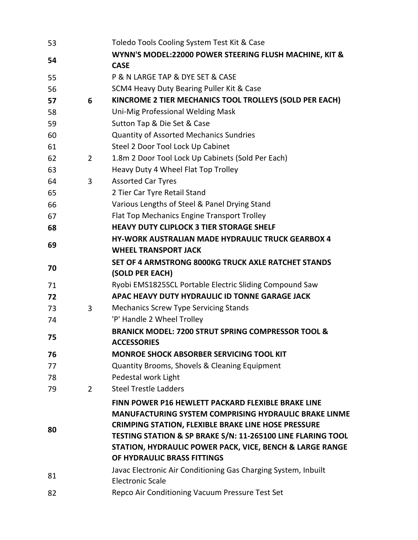| 53 |             | Toledo Tools Cooling System Test Kit & Case                    |
|----|-------------|----------------------------------------------------------------|
|    |             | WYNN'S MODEL:22000 POWER STEERING FLUSH MACHINE, KIT &         |
| 54 |             | <b>CASE</b>                                                    |
| 55 |             | P & N LARGE TAP & DYE SET & CASE                               |
| 56 |             | SCM4 Heavy Duty Bearing Puller Kit & Case                      |
| 57 | 6           | KINCROME 2 TIER MECHANICS TOOL TROLLEYS (SOLD PER EACH)        |
| 58 |             | Uni-Mig Professional Welding Mask                              |
| 59 |             | Sutton Tap & Die Set & Case                                    |
| 60 |             | <b>Quantity of Assorted Mechanics Sundries</b>                 |
| 61 |             | Steel 2 Door Tool Lock Up Cabinet                              |
| 62 | $2^{\circ}$ | 1.8m 2 Door Tool Lock Up Cabinets (Sold Per Each)              |
| 63 |             | Heavy Duty 4 Wheel Flat Top Trolley                            |
| 64 | 3           | <b>Assorted Car Tyres</b>                                      |
| 65 |             | 2 Tier Car Tyre Retail Stand                                   |
| 66 |             | Various Lengths of Steel & Panel Drying Stand                  |
| 67 |             | Flat Top Mechanics Engine Transport Trolley                    |
| 68 |             | <b>HEAVY DUTY CLIPLOCK 3 TIER STORAGE SHELF</b>                |
| 69 |             | <b>HY-WORK AUSTRALIAN MADE HYDRAULIC TRUCK GEARBOX 4</b>       |
|    |             | <b>WHEEL TRANSPORT JACK</b>                                    |
| 70 |             | SET OF 4 ARMSTRONG 8000KG TRUCK AXLE RATCHET STANDS            |
|    |             | (SOLD PER EACH)                                                |
| 71 |             | Ryobi EMS1825SCL Portable Electric Sliding Compound Saw        |
| 72 |             | APAC HEAVY DUTY HYDRAULIC ID TONNE GARAGE JACK                 |
| 73 | 3           | <b>Mechanics Screw Type Servicing Stands</b>                   |
| 74 |             | 'P' Handle 2 Wheel Trolley                                     |
| 75 |             | <b>BRANICK MODEL: 7200 STRUT SPRING COMPRESSOR TOOL &amp;</b>  |
|    |             | <b>ACCESSORIES</b>                                             |
| 76 |             | <b>MONROE SHOCK ABSORBER SERVICING TOOL KIT</b>                |
| 77 |             | Quantity Brooms, Shovels & Cleaning Equipment                  |
| 78 |             | Pedestal work Light                                            |
| 79 | $2^{\circ}$ | <b>Steel Trestle Ladders</b>                                   |
|    |             | FINN POWER P16 HEWLETT PACKARD FLEXIBLE BRAKE LINE             |
|    |             | <b>MANUFACTURING SYSTEM COMPRISING HYDRAULIC BRAKE LINME</b>   |
| 80 |             | <b>CRIMPING STATION, FLEXIBLE BRAKE LINE HOSE PRESSURE</b>     |
|    |             | TESTING STATION & SP BRAKE S/N: 11-265100 LINE FLARING TOOL    |
|    |             | STATION, HYDRAULIC POWER PACK, VICE, BENCH & LARGE RANGE       |
|    |             | OF HYDRAULIC BRASS FITTINGS                                    |
| 81 |             | Javac Electronic Air Conditioning Gas Charging System, Inbuilt |
|    |             | <b>Electronic Scale</b>                                        |
| 82 |             | Repco Air Conditioning Vacuum Pressure Test Set                |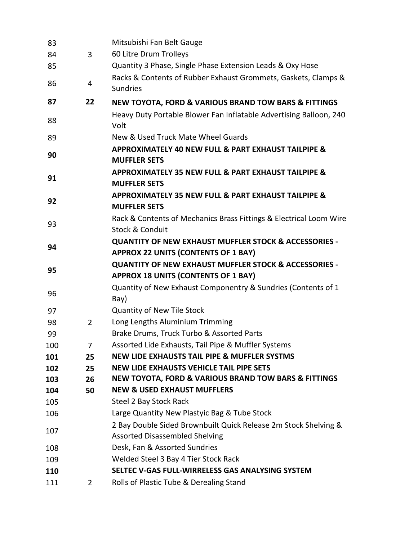| 83  |                | Mitsubishi Fan Belt Gauge                                                                                      |
|-----|----------------|----------------------------------------------------------------------------------------------------------------|
| 84  | 3              | 60 Litre Drum Trolleys                                                                                         |
| 85  |                | Quantity 3 Phase, Single Phase Extension Leads & Oxy Hose                                                      |
| 86  | 4              | Racks & Contents of Rubber Exhaust Grommets, Gaskets, Clamps &<br><b>Sundries</b>                              |
| 87  | 22             | <b>NEW TOYOTA, FORD &amp; VARIOUS BRAND TOW BARS &amp; FITTINGS</b>                                            |
| 88  |                | Heavy Duty Portable Blower Fan Inflatable Advertising Balloon, 240<br>Volt                                     |
| 89  |                | New & Used Truck Mate Wheel Guards                                                                             |
| 90  |                | <b>APPROXIMATELY 40 NEW FULL &amp; PART EXHAUST TAILPIPE &amp;</b><br><b>MUFFLER SETS</b>                      |
| 91  |                | <b>APPROXIMATELY 35 NEW FULL &amp; PART EXHAUST TAILPIPE &amp;</b><br><b>MUFFLER SETS</b>                      |
| 92  |                | <b>APPROXIMATELY 35 NEW FULL &amp; PART EXHAUST TAILPIPE &amp;</b><br><b>MUFFLER SETS</b>                      |
| 93  |                | Rack & Contents of Mechanics Brass Fittings & Electrical Loom Wire<br>Stock & Conduit                          |
| 94  |                | <b>QUANTITY OF NEW EXHAUST MUFFLER STOCK &amp; ACCESSORIES -</b><br><b>APPROX 22 UNITS (CONTENTS OF 1 BAY)</b> |
| 95  |                | <b>QUANTITY OF NEW EXHAUST MUFFLER STOCK &amp; ACCESSORIES -</b><br><b>APPROX 18 UNITS (CONTENTS OF 1 BAY)</b> |
| 96  |                | Quantity of New Exhaust Componentry & Sundries (Contents of 1<br>Bay)                                          |
| 97  |                | <b>Quantity of New Tile Stock</b>                                                                              |
| 98  | $\overline{2}$ | Long Lengths Aluminium Trimming                                                                                |
| 99  |                | Brake Drums, Truck Turbo & Assorted Parts                                                                      |
| 100 |                | Assorted Lide Exhausts, Tail Pipe & Muffler Systems                                                            |
| 101 | 25             | <b>NEW LIDE EXHAUSTS TAIL PIPE &amp; MUFFLER SYSTMS</b>                                                        |
| 102 | 25             | <b>NEW LIDE EXHAUSTS VEHICLE TAIL PIPE SETS</b>                                                                |
| 103 | 26             | <b>NEW TOYOTA, FORD &amp; VARIOUS BRAND TOW BARS &amp; FITTINGS</b>                                            |
| 104 | 50             | <b>NEW &amp; USED EXHAUST MUFFLERS</b>                                                                         |
| 105 |                | Steel 2 Bay Stock Rack                                                                                         |
| 106 |                | Large Quantity New Plastyic Bag & Tube Stock                                                                   |
| 107 |                | 2 Bay Double Sided Brownbuilt Quick Release 2m Stock Shelving &                                                |
|     |                | <b>Assorted Disassembled Shelving</b>                                                                          |
| 108 |                | Desk, Fan & Assorted Sundries                                                                                  |
| 109 |                | Welded Steel 3 Bay 4 Tier Stock Rack                                                                           |
| 110 |                | SELTEC V-GAS FULL-WIRRELESS GAS ANALYSING SYSTEM                                                               |
| 111 | $\mathbf{2}$   | Rolls of Plastic Tube & Derealing Stand                                                                        |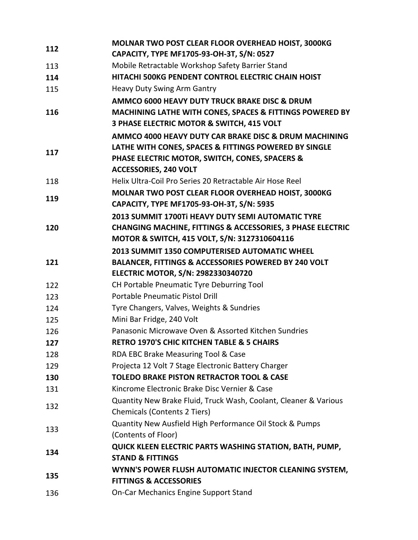| 112 | MOLNAR TWO POST CLEAR FLOOR OVERHEAD HOIST, 3000KG<br>CAPACITY, TYPE MF1705-93-OH-3T, S/N: 0527                                                                                                  |
|-----|--------------------------------------------------------------------------------------------------------------------------------------------------------------------------------------------------|
| 113 | Mobile Retractable Workshop Safety Barrier Stand                                                                                                                                                 |
| 114 | HITACHI 500KG PENDENT CONTROL ELECTRIC CHAIN HOIST                                                                                                                                               |
|     |                                                                                                                                                                                                  |
| 115 | <b>Heavy Duty Swing Arm Gantry</b>                                                                                                                                                               |
| 116 | AMMCO 6000 HEAVY DUTY TRUCK BRAKE DISC & DRUM<br>MACHINING LATHE WITH CONES, SPACES & FITTINGS POWERED BY<br>3 PHASE ELECTRIC MOTOR & SWITCH, 415 VOLT                                           |
| 117 | AMMCO 4000 HEAVY DUTY CAR BRAKE DISC & DRUM MACHINING<br>LATHE WITH CONES, SPACES & FITTINGS POWERED BY SINGLE<br>PHASE ELECTRIC MOTOR, SWITCH, CONES, SPACERS &<br><b>ACCESSORIES, 240 VOLT</b> |
| 118 | Helix Ultra-Coil Pro Series 20 Retractable Air Hose Reel                                                                                                                                         |
| 119 | MOLNAR TWO POST CLEAR FLOOR OVERHEAD HOIST, 3000KG<br>CAPACITY, TYPE MF1705-93-OH-3T, S/N: 5935                                                                                                  |
| 120 | 2013 SUMMIT 1700Ti HEAVY DUTY SEMI AUTOMATIC TYRE<br><b>CHANGING MACHINE, FITTINGS &amp; ACCESSORIES, 3 PHASE ELECTRIC</b><br>MOTOR & SWITCH, 415 VOLT, S/N: 3127310604116                       |
|     |                                                                                                                                                                                                  |
|     | 2013 SUMMIT 1350 COMPUTERISED AUTOMATIC WHEEL                                                                                                                                                    |
| 121 | BALANCER, FITTINGS & ACCESSORIES POWERED BY 240 VOLT<br>ELECTRIC MOTOR, S/N: 2982330340720                                                                                                       |
| 122 | CH Portable Pneumatic Tyre Deburring Tool                                                                                                                                                        |
| 123 | <b>Portable Pneumatic Pistol Drill</b>                                                                                                                                                           |
| 124 | Tyre Changers, Valves, Weights & Sundries                                                                                                                                                        |
| 125 | Mini Bar Fridge, 240 Volt                                                                                                                                                                        |
| 126 | Panasonic Microwave Oven & Assorted Kitchen Sundries                                                                                                                                             |
| 127 | <b>RETRO 1970'S CHIC KITCHEN TABLE &amp; 5 CHAIRS</b>                                                                                                                                            |
| 128 | RDA EBC Brake Measuring Tool & Case                                                                                                                                                              |
| 129 | Projecta 12 Volt 7 Stage Electronic Battery Charger                                                                                                                                              |
| 130 | <b>TOLEDO BRAKE PISTON RETRACTOR TOOL &amp; CASE</b>                                                                                                                                             |
| 131 | Kincrome Electronic Brake Disc Vernier & Case                                                                                                                                                    |
|     | Quantity New Brake Fluid, Truck Wash, Coolant, Cleaner & Various                                                                                                                                 |
| 132 | <b>Chemicals (Contents 2 Tiers)</b>                                                                                                                                                              |
|     | Quantity New Ausfield High Performance Oil Stock & Pumps                                                                                                                                         |
| 133 | (Contents of Floor)                                                                                                                                                                              |
|     | QUICK KLEEN ELECTRIC PARTS WASHING STATION, BATH, PUMP,                                                                                                                                          |
| 134 | <b>STAND &amp; FITTINGS</b>                                                                                                                                                                      |
| 135 | WYNN'S POWER FLUSH AUTOMATIC INJECTOR CLEANING SYSTEM,<br><b>FITTINGS &amp; ACCESSORIES</b>                                                                                                      |
|     |                                                                                                                                                                                                  |
| 136 | <b>On-Car Mechanics Engine Support Stand</b>                                                                                                                                                     |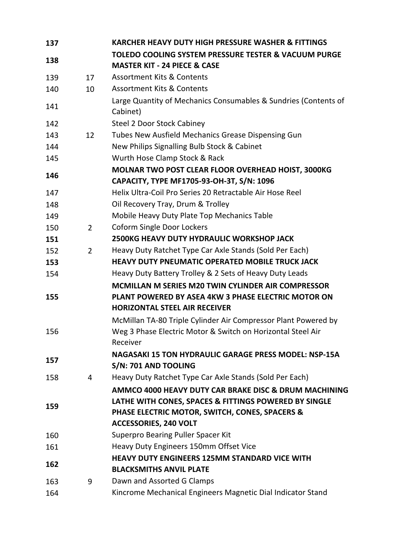| 137 |                | <b>KARCHER HEAVY DUTY HIGH PRESSURE WASHER &amp; FITTINGS</b>                         |
|-----|----------------|---------------------------------------------------------------------------------------|
|     |                | <b>TOLEDO COOLING SYSTEM PRESSURE TESTER &amp; VACUUM PURGE</b>                       |
| 138 |                | <b>MASTER KIT - 24 PIECE &amp; CASE</b>                                               |
| 139 | 17             | <b>Assortment Kits &amp; Contents</b>                                                 |
| 140 | 10             | <b>Assortment Kits &amp; Contents</b>                                                 |
| 141 |                | Large Quantity of Mechanics Consumables & Sundries (Contents of<br>Cabinet)           |
| 142 |                | <b>Steel 2 Door Stock Cabiney</b>                                                     |
| 143 | 12             | Tubes New Ausfield Mechanics Grease Dispensing Gun                                    |
| 144 |                | New Philips Signalling Bulb Stock & Cabinet                                           |
| 145 |                | Wurth Hose Clamp Stock & Rack                                                         |
| 146 |                | MOLNAR TWO POST CLEAR FLOOR OVERHEAD HOIST, 3000KG                                    |
|     |                | CAPACITY, TYPE MF1705-93-OH-3T, S/N: 1096                                             |
| 147 |                | Helix Ultra-Coil Pro Series 20 Retractable Air Hose Reel                              |
| 148 |                | Oil Recovery Tray, Drum & Trolley                                                     |
| 149 |                | Mobile Heavy Duty Plate Top Mechanics Table                                           |
| 150 | $\overline{2}$ | <b>Coform Single Door Lockers</b><br><b>2500KG HEAVY DUTY HYDRAULIC WORKSHOP JACK</b> |
| 151 |                | Heavy Duty Ratchet Type Car Axle Stands (Sold Per Each)                               |
| 152 | 2              | <b>HEAVY DUTY PNEUMATIC OPERATED MOBILE TRUCK JACK</b>                                |
| 153 |                | Heavy Duty Battery Trolley & 2 Sets of Heavy Duty Leads                               |
| 154 |                | MCMILLAN M SERIES M20 TWIN CYLINDER AIR COMPRESSOR                                    |
| 155 |                | PLANT POWERED BY ASEA 4KW 3 PHASE ELECTRIC MOTOR ON                                   |
|     |                | <b>HORIZONTAL STEEL AIR RECEIVER</b>                                                  |
|     |                | McMillan TA-80 Triple Cylinder Air Compressor Plant Powered by                        |
| 156 |                | Weg 3 Phase Electric Motor & Switch on Horizontal Steel Air                           |
|     |                | Receiver                                                                              |
|     |                | <b>NAGASAKI 15 TON HYDRAULIC GARAGE PRESS MODEL: NSP-15A</b>                          |
| 157 |                | S/N: 701 AND TOOLING                                                                  |
| 158 | 4              | Heavy Duty Ratchet Type Car Axle Stands (Sold Per Each)                               |
|     |                | AMMCO 4000 HEAVY DUTY CAR BRAKE DISC & DRUM MACHINING                                 |
|     |                | LATHE WITH CONES, SPACES & FITTINGS POWERED BY SINGLE                                 |
| 159 |                | PHASE ELECTRIC MOTOR, SWITCH, CONES, SPACERS &                                        |
|     |                | <b>ACCESSORIES, 240 VOLT</b>                                                          |
| 160 |                | Superpro Bearing Puller Spacer Kit                                                    |
| 161 |                | Heavy Duty Engineers 150mm Offset Vice                                                |
|     |                | <b>HEAVY DUTY ENGINEERS 125MM STANDARD VICE WITH</b>                                  |
| 162 |                | <b>BLACKSMITHS ANVIL PLATE</b>                                                        |
| 163 | 9              | Dawn and Assorted G Clamps                                                            |
| 164 |                | Kincrome Mechanical Engineers Magnetic Dial Indicator Stand                           |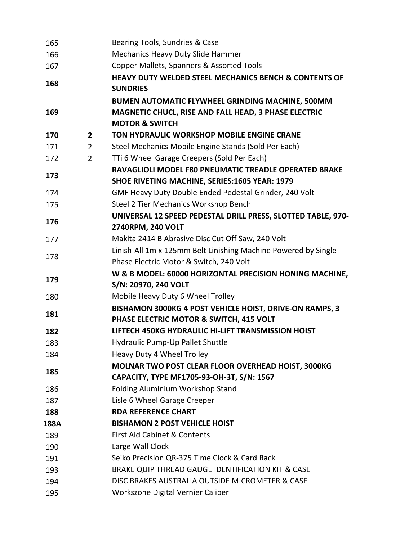| 165  |                | Bearing Tools, Sundries & Case                                   |
|------|----------------|------------------------------------------------------------------|
| 166  |                | <b>Mechanics Heavy Duty Slide Hammer</b>                         |
| 167  |                | Copper Mallets, Spanners & Assorted Tools                        |
|      |                | <b>HEAVY DUTY WELDED STEEL MECHANICS BENCH &amp; CONTENTS OF</b> |
| 168  |                | <b>SUNDRIES</b>                                                  |
|      |                | BUMEN AUTOMATIC FLYWHEEL GRINDING MACHINE, 500MM                 |
| 169  |                | MAGNETIC CHUCL, RISE AND FALL HEAD, 3 PHASE ELECTRIC             |
|      |                | <b>MOTOR &amp; SWITCH</b>                                        |
| 170  | $\overline{2}$ | TON HYDRAULIC WORKSHOP MOBILE ENGINE CRANE                       |
| 171  | $\overline{2}$ | Steel Mechanics Mobile Engine Stands (Sold Per Each)             |
| 172  | $\overline{2}$ | TTi 6 Wheel Garage Creepers (Sold Per Each)                      |
|      |                | RAVAGLIOLI MODEL F80 PNEUMATIC TREADLE OPERATED BRAKE            |
| 173  |                | SHOE RIVETING MACHINE, SERIES:1605 YEAR: 1979                    |
| 174  |                | GMF Heavy Duty Double Ended Pedestal Grinder, 240 Volt           |
| 175  |                | Steel 2 Tier Mechanics Workshop Bench                            |
|      |                | UNIVERSAL 12 SPEED PEDESTAL DRILL PRESS, SLOTTED TABLE, 970-     |
| 176  |                | 2740RPM, 240 VOLT                                                |
| 177  |                | Makita 2414 B Abrasive Disc Cut Off Saw, 240 Volt                |
| 178  |                | Linish-All 1m x 125mm Belt Linishing Machine Powered by Single   |
|      |                | Phase Electric Motor & Switch, 240 Volt                          |
| 179  |                | W & B MODEL: 60000 HORIZONTAL PRECISION HONING MACHINE,          |
|      |                | S/N: 20970, 240 VOLT                                             |
| 180  |                | Mobile Heavy Duty 6 Wheel Trolley                                |
| 181  |                | BISHAMON 3000KG 4 POST VEHICLE HOIST, DRIVE-ON RAMPS, 3          |
|      |                | PHASE ELECTRIC MOTOR & SWITCH, 415 VOLT                          |
| 182  |                | LIFTECH 450KG HYDRAULIC HI-LIFT TRANSMISSION HOIST               |
| 183  |                | Hydraulic Pump-Up Pallet Shuttle                                 |
| 184  |                | Heavy Duty 4 Wheel Trolley                                       |
| 185  |                | MOLNAR TWO POST CLEAR FLOOR OVERHEAD HOIST, 3000KG               |
|      |                | CAPACITY, TYPE MF1705-93-OH-3T, S/N: 1567                        |
| 186  |                | Folding Aluminium Workshop Stand                                 |
| 187  |                | Lisle 6 Wheel Garage Creeper                                     |
| 188  |                | <b>RDA REFERENCE CHART</b>                                       |
| 188A |                | <b>BISHAMON 2 POST VEHICLE HOIST</b>                             |
| 189  |                | <b>First Aid Cabinet &amp; Contents</b>                          |
| 190  |                | Large Wall Clock                                                 |
| 191  |                | Seiko Precision QR-375 Time Clock & Card Rack                    |
| 193  |                | BRAKE QUIP THREAD GAUGE IDENTIFICATION KIT & CASE                |
| 194  |                | DISC BRAKES AUSTRALIA OUTSIDE MICROMETER & CASE                  |
| 195  |                | Workszone Digital Vernier Caliper                                |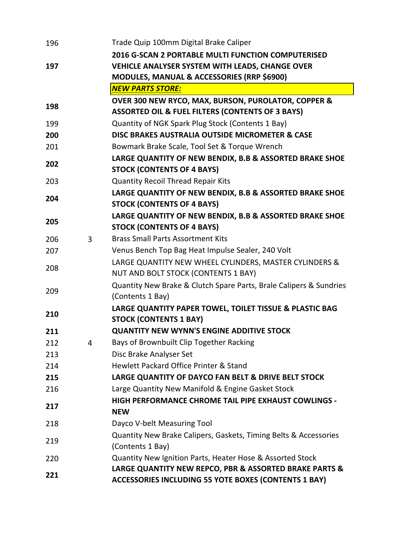| 196 |   | Trade Quip 100mm Digital Brake Caliper                             |
|-----|---|--------------------------------------------------------------------|
|     |   | 2016 G-SCAN 2 PORTABLE MULTI FUNCTION COMPUTERISED                 |
| 197 |   | VEHICLE ANALYSER SYSTEM WITH LEADS, CHANGE OVER                    |
|     |   | <b>MODULES, MANUAL &amp; ACCESSORIES (RRP \$6900)</b>              |
|     |   | <b>NEW PARTS STORE:</b>                                            |
|     |   | OVER 300 NEW RYCO, MAX, BURSON, PUROLATOR, COPPER &                |
| 198 |   | <b>ASSORTED OIL &amp; FUEL FILTERS (CONTENTS OF 3 BAYS)</b>        |
| 199 |   | Quantity of NGK Spark Plug Stock (Contents 1 Bay)                  |
| 200 |   | DISC BRAKES AUSTRALIA OUTSIDE MICROMETER & CASE                    |
| 201 |   | Bowmark Brake Scale, Tool Set & Torque Wrench                      |
|     |   | LARGE QUANTITY OF NEW BENDIX, B.B & ASSORTED BRAKE SHOE            |
| 202 |   | <b>STOCK (CONTENTS OF 4 BAYS)</b>                                  |
| 203 |   | <b>Quantity Recoil Thread Repair Kits</b>                          |
|     |   | LARGE QUANTITY OF NEW BENDIX, B.B & ASSORTED BRAKE SHOE            |
| 204 |   | <b>STOCK (CONTENTS OF 4 BAYS)</b>                                  |
|     |   | LARGE QUANTITY OF NEW BENDIX, B.B & ASSORTED BRAKE SHOE            |
| 205 |   | <b>STOCK (CONTENTS OF 4 BAYS)</b>                                  |
| 206 | 3 | <b>Brass Small Parts Assortment Kits</b>                           |
| 207 |   | Venus Bench Top Bag Heat Impulse Sealer, 240 Volt                  |
|     |   | LARGE QUANTITY NEW WHEEL CYLINDERS, MASTER CYLINDERS &             |
| 208 |   | <b>NUT AND BOLT STOCK (CONTENTS 1 BAY)</b>                         |
| 209 |   | Quantity New Brake & Clutch Spare Parts, Brale Calipers & Sundries |
|     |   | (Contents 1 Bay)                                                   |
| 210 |   | LARGE QUANTITY PAPER TOWEL, TOILET TISSUE & PLASTIC BAG            |
|     |   | <b>STOCK (CONTENTS 1 BAY)</b>                                      |
| 211 |   | <b>QUANTITY NEW WYNN'S ENGINE ADDITIVE STOCK</b>                   |
| 212 |   | Bays of Brownbuilt Clip Together Racking                           |
| 213 |   | Disc Brake Analyser Set                                            |
| 214 |   | Hewlett Packard Office Printer & Stand                             |
| 215 |   | LARGE QUANTITY OF DAYCO FAN BELT & DRIVE BELT STOCK                |
| 216 |   | Large Quantity New Manifold & Engine Gasket Stock                  |
| 217 |   | <b>HIGH PERFORMANCE CHROME TAIL PIPE EXHAUST COWLINGS -</b>        |
|     |   | <b>NEW</b>                                                         |
| 218 |   | Dayco V-belt Measuring Tool                                        |
| 219 |   | Quantity New Brake Calipers, Gaskets, Timing Belts & Accessories   |
|     |   | (Contents 1 Bay)                                                   |
| 220 |   | Quantity New Ignition Parts, Heater Hose & Assorted Stock          |
| 221 |   | LARGE QUANTITY NEW REPCO, PBR & ASSORTED BRAKE PARTS &             |
|     |   | <b>ACCESSORIES INCLUDING 55 YOTE BOXES (CONTENTS 1 BAY)</b>        |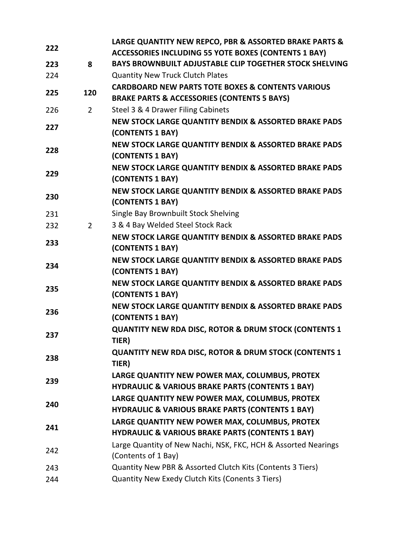| 222 |                | LARGE QUANTITY NEW REPCO, PBR & ASSORTED BRAKE PARTS &                    |
|-----|----------------|---------------------------------------------------------------------------|
|     |                | <b>ACCESSORIES INCLUDING 55 YOTE BOXES (CONTENTS 1 BAY)</b>               |
| 223 | 8              | <b>BAYS BROWNBUILT ADJUSTABLE CLIP TOGETHER STOCK SHELVING</b>            |
| 224 |                | <b>Quantity New Truck Clutch Plates</b>                                   |
| 225 | 120            | <b>CARDBOARD NEW PARTS TOTE BOXES &amp; CONTENTS VARIOUS</b>              |
|     |                | <b>BRAKE PARTS &amp; ACCESSORIES (CONTENTS 5 BAYS)</b>                    |
| 226 | $\overline{2}$ | Steel 3 & 4 Drawer Filing Cabinets                                        |
| 227 |                | NEW STOCK LARGE QUANTITY BENDIX & ASSORTED BRAKE PADS                     |
|     |                | (CONTENTS 1 BAY)                                                          |
| 228 |                | NEW STOCK LARGE QUANTITY BENDIX & ASSORTED BRAKE PADS                     |
|     |                | (CONTENTS 1 BAY)                                                          |
| 229 |                | NEW STOCK LARGE QUANTITY BENDIX & ASSORTED BRAKE PADS                     |
|     |                | (CONTENTS 1 BAY)                                                          |
| 230 |                | NEW STOCK LARGE QUANTITY BENDIX & ASSORTED BRAKE PADS<br>(CONTENTS 1 BAY) |
| 231 |                | Single Bay Brownbuilt Stock Shelving                                      |
| 232 | $2^{\circ}$    | 3 & 4 Bay Welded Steel Stock Rack                                         |
|     |                | NEW STOCK LARGE QUANTITY BENDIX & ASSORTED BRAKE PADS                     |
| 233 |                | (CONTENTS 1 BAY)                                                          |
|     |                | NEW STOCK LARGE QUANTITY BENDIX & ASSORTED BRAKE PADS                     |
| 234 |                | (CONTENTS 1 BAY)                                                          |
|     |                | NEW STOCK LARGE QUANTITY BENDIX & ASSORTED BRAKE PADS                     |
| 235 |                | (CONTENTS 1 BAY)                                                          |
|     |                | NEW STOCK LARGE QUANTITY BENDIX & ASSORTED BRAKE PADS                     |
| 236 |                | (CONTENTS 1 BAY)                                                          |
| 237 |                | <b>QUANTITY NEW RDA DISC, ROTOR &amp; DRUM STOCK (CONTENTS 1)</b>         |
|     |                | TIER)                                                                     |
| 238 |                | <b>QUANTITY NEW RDA DISC, ROTOR &amp; DRUM STOCK (CONTENTS 1</b>          |
|     |                | TIER)                                                                     |
| 239 |                | LARGE QUANTITY NEW POWER MAX, COLUMBUS, PROTEX                            |
|     |                | <b>HYDRAULIC &amp; VARIOUS BRAKE PARTS (CONTENTS 1 BAY)</b>               |
| 240 |                | LARGE QUANTITY NEW POWER MAX, COLUMBUS, PROTEX                            |
|     |                | <b>HYDRAULIC &amp; VARIOUS BRAKE PARTS (CONTENTS 1 BAY)</b>               |
| 241 |                | LARGE QUANTITY NEW POWER MAX, COLUMBUS, PROTEX                            |
|     |                | <b>HYDRAULIC &amp; VARIOUS BRAKE PARTS (CONTENTS 1 BAY)</b>               |
| 242 |                | Large Quantity of New Nachi, NSK, FKC, HCH & Assorted Nearings            |
|     |                | (Contents of 1 Bay)                                                       |
| 243 |                | Quantity New PBR & Assorted Clutch Kits (Contents 3 Tiers)                |
| 244 |                | Quantity New Exedy Clutch Kits (Conents 3 Tiers)                          |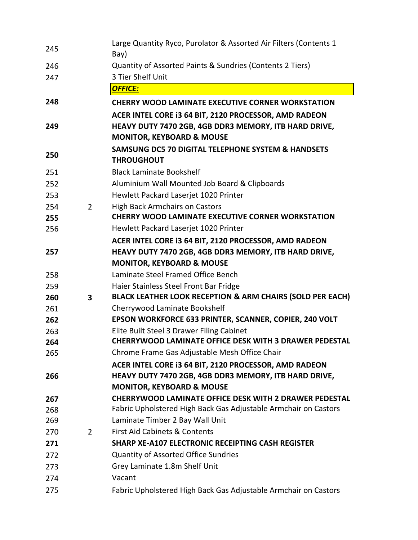| 245 |                | Large Quantity Ryco, Purolator & Assorted Air Filters (Contents 1)<br>Bay)                                        |
|-----|----------------|-------------------------------------------------------------------------------------------------------------------|
| 246 |                | Quantity of Assorted Paints & Sundries (Contents 2 Tiers)                                                         |
| 247 |                | 3 Tier Shelf Unit                                                                                                 |
|     |                | <b>OFFICE:</b>                                                                                                    |
| 248 |                | <b>CHERRY WOOD LAMINATE EXECUTIVE CORNER WORKSTATION</b><br>ACER INTEL CORE I3 64 BIT, 2120 PROCESSOR, AMD RADEON |
| 249 |                | HEAVY DUTY 7470 2GB, 4GB DDR3 MEMORY, ITB HARD DRIVE,<br><b>MONITOR, KEYBOARD &amp; MOUSE</b>                     |
| 250 |                | <b>SAMSUNG DC5 70 DIGITAL TELEPHONE SYSTEM &amp; HANDSETS</b><br><b>THROUGHOUT</b>                                |
| 251 |                | <b>Black Laminate Bookshelf</b>                                                                                   |
| 252 |                | Aluminium Wall Mounted Job Board & Clipboards                                                                     |
| 253 |                | Hewlett Packard Laserjet 1020 Printer                                                                             |
| 254 | $\overline{2}$ | <b>High Back Armchairs on Castors</b>                                                                             |
| 255 |                | <b>CHERRY WOOD LAMINATE EXECUTIVE CORNER WORKSTATION</b>                                                          |
| 256 |                | Hewlett Packard Laserjet 1020 Printer                                                                             |
|     |                | ACER INTEL CORE I3 64 BIT, 2120 PROCESSOR, AMD RADEON                                                             |
| 257 |                | HEAVY DUTY 7470 2GB, 4GB DDR3 MEMORY, ITB HARD DRIVE,                                                             |
|     |                | <b>MONITOR, KEYBOARD &amp; MOUSE</b>                                                                              |
| 258 |                | Laminate Steel Framed Office Bench                                                                                |
| 259 |                | Haier Stainless Steel Front Bar Fridge                                                                            |
| 260 | 3              | BLACK LEATHER LOOK RECEPTION & ARM CHAIRS (SOLD PER EACH)                                                         |
| 261 |                | Cherrywood Laminate Bookshelf                                                                                     |
| 262 |                | EPSON WORKFORCE 633 PRINTER, SCANNER, COPIER, 240 VOLT                                                            |
| 263 |                | Elite Built Steel 3 Drawer Filing Cabinet                                                                         |
| 264 |                | <b>CHERRYWOOD LAMINATE OFFICE DESK WITH 3 DRAWER PEDESTAL</b>                                                     |
| 265 |                | Chrome Frame Gas Adjustable Mesh Office Chair                                                                     |
|     |                | ACER INTEL CORE I3 64 BIT, 2120 PROCESSOR, AMD RADEON                                                             |
| 266 |                | HEAVY DUTY 7470 2GB, 4GB DDR3 MEMORY, ITB HARD DRIVE,                                                             |
|     |                | <b>MONITOR, KEYBOARD &amp; MOUSE</b>                                                                              |
| 267 |                | <b>CHERRYWOOD LAMINATE OFFICE DESK WITH 2 DRAWER PEDESTAL</b>                                                     |
| 268 |                | Fabric Upholstered High Back Gas Adjustable Armchair on Castors                                                   |
| 269 |                | Laminate Timber 2 Bay Wall Unit                                                                                   |
| 270 | $\overline{2}$ | <b>First Aid Cabinets &amp; Contents</b>                                                                          |
| 271 |                | SHARP XE-A107 ELECTRONIC RECEIPTING CASH REGISTER                                                                 |
| 272 |                | <b>Quantity of Assorted Office Sundries</b>                                                                       |
| 273 |                | Grey Laminate 1.8m Shelf Unit                                                                                     |
| 274 |                | Vacant                                                                                                            |
| 275 |                | Fabric Upholstered High Back Gas Adjustable Armchair on Castors                                                   |